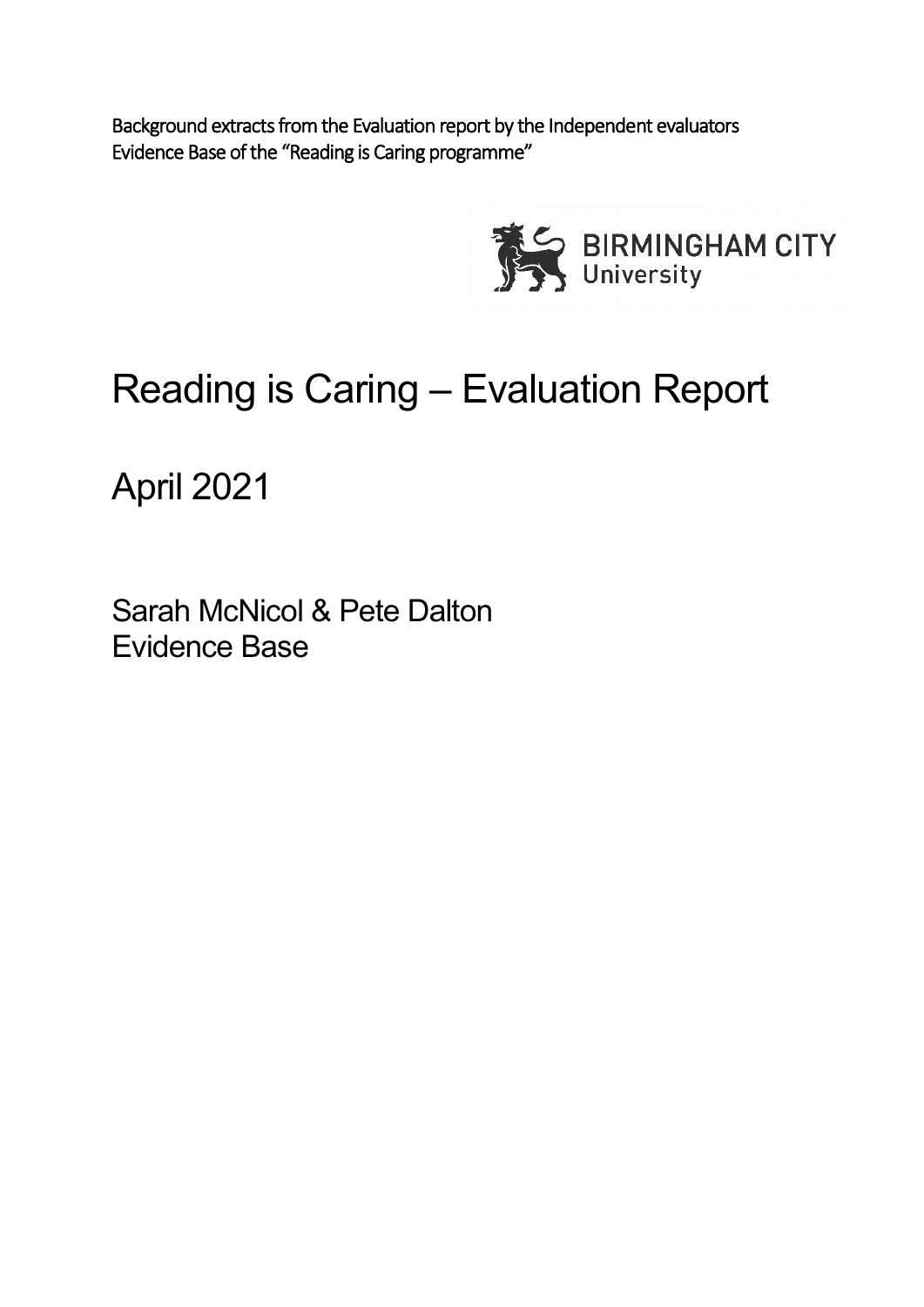Background extracts from the Evaluation report by the Independent evaluators Evidence Base of the "Reading is Caring programme"



# Reading is Caring – Evaluation Report

April 2021

Sarah McNicol & Pete Dalton Evidence Base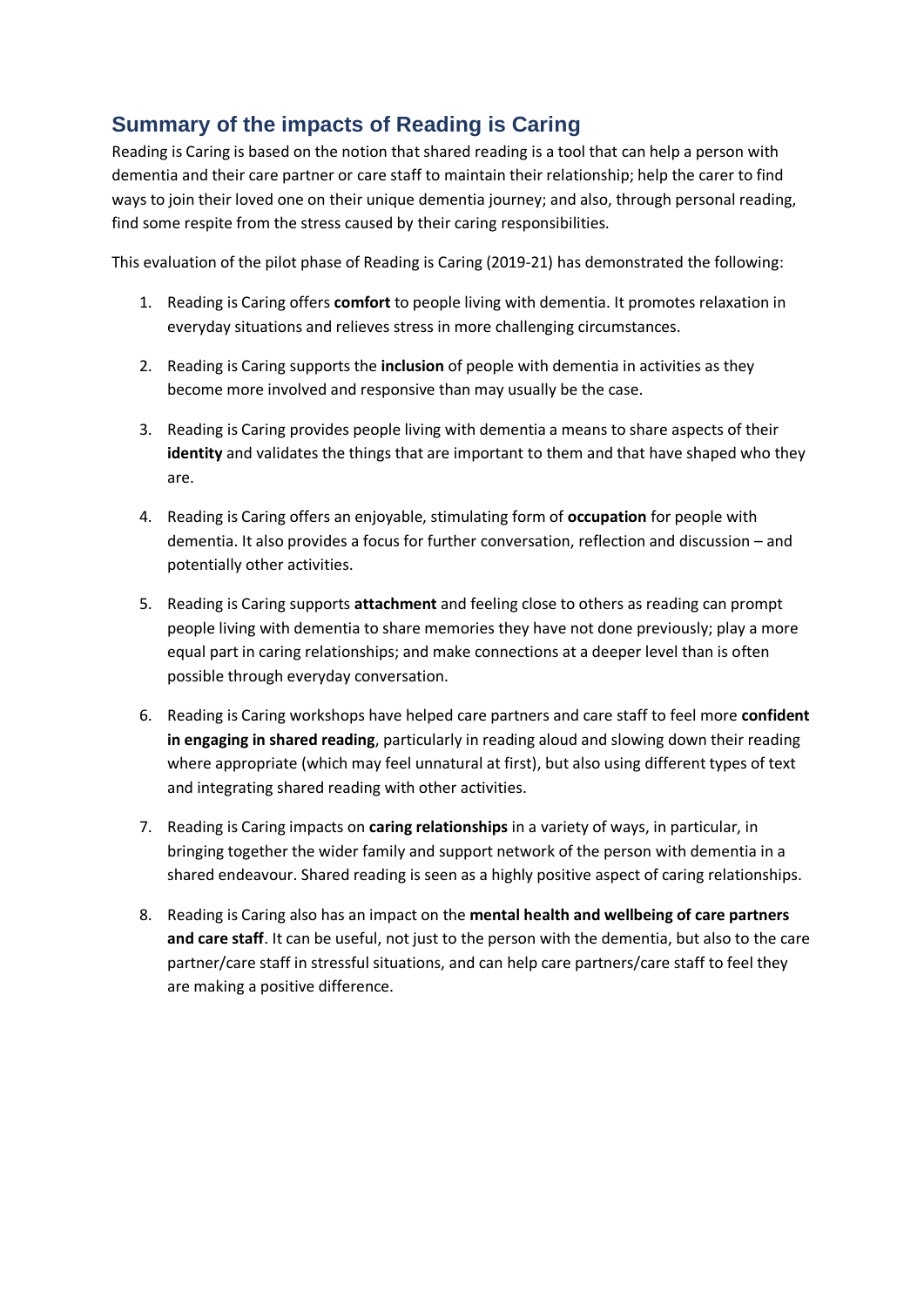# **Summary of the impacts of Reading is Caring**

Reading is Caring is based on the notion that shared reading is a tool that can help a person with dementia and their care partner or care staff to maintain their relationship; help the carer to find ways to join their loved one on their unique dementia journey; and also, through personal reading, find some respite from the stress caused by their caring responsibilities.

This evaluation of the pilot phase of Reading is Caring (2019-21) has demonstrated the following:

- 1. Reading is Caring offers **comfort** to people living with dementia. It promotes relaxation in everyday situations and relieves stress in more challenging circumstances.
- 2. Reading is Caring supports the **inclusion** of people with dementia in activities as they become more involved and responsive than may usually be the case.
- 3. Reading is Caring provides people living with dementia a means to share aspects of their **identity** and validates the things that are important to them and that have shaped who they are.
- 4. Reading is Caring offers an enjoyable, stimulating form of **occupation** for people with dementia. It also provides a focus for further conversation, reflection and discussion – and potentially other activities.
- 5. Reading is Caring supports **attachment** and feeling close to others as reading can prompt people living with dementia to share memories they have not done previously; play a more equal part in caring relationships; and make connections at a deeper level than is often possible through everyday conversation.
- 6. Reading is Caring workshops have helped care partners and care staff to feel more **confident in engaging in shared reading**, particularly in reading aloud and slowing down their reading where appropriate (which may feel unnatural at first), but also using different types of text and integrating shared reading with other activities.
- 7. Reading is Caring impacts on **caring relationships** in a variety of ways, in particular, in bringing together the wider family and support network of the person with dementia in a shared endeavour. Shared reading is seen as a highly positive aspect of caring relationships.
- 8. Reading is Caring also has an impact on the **mental health and wellbeing of care partners and care staff**. It can be useful, not just to the person with the dementia, but also to the care partner/care staff in stressful situations, and can help care partners/care staff to feel they are making a positive difference.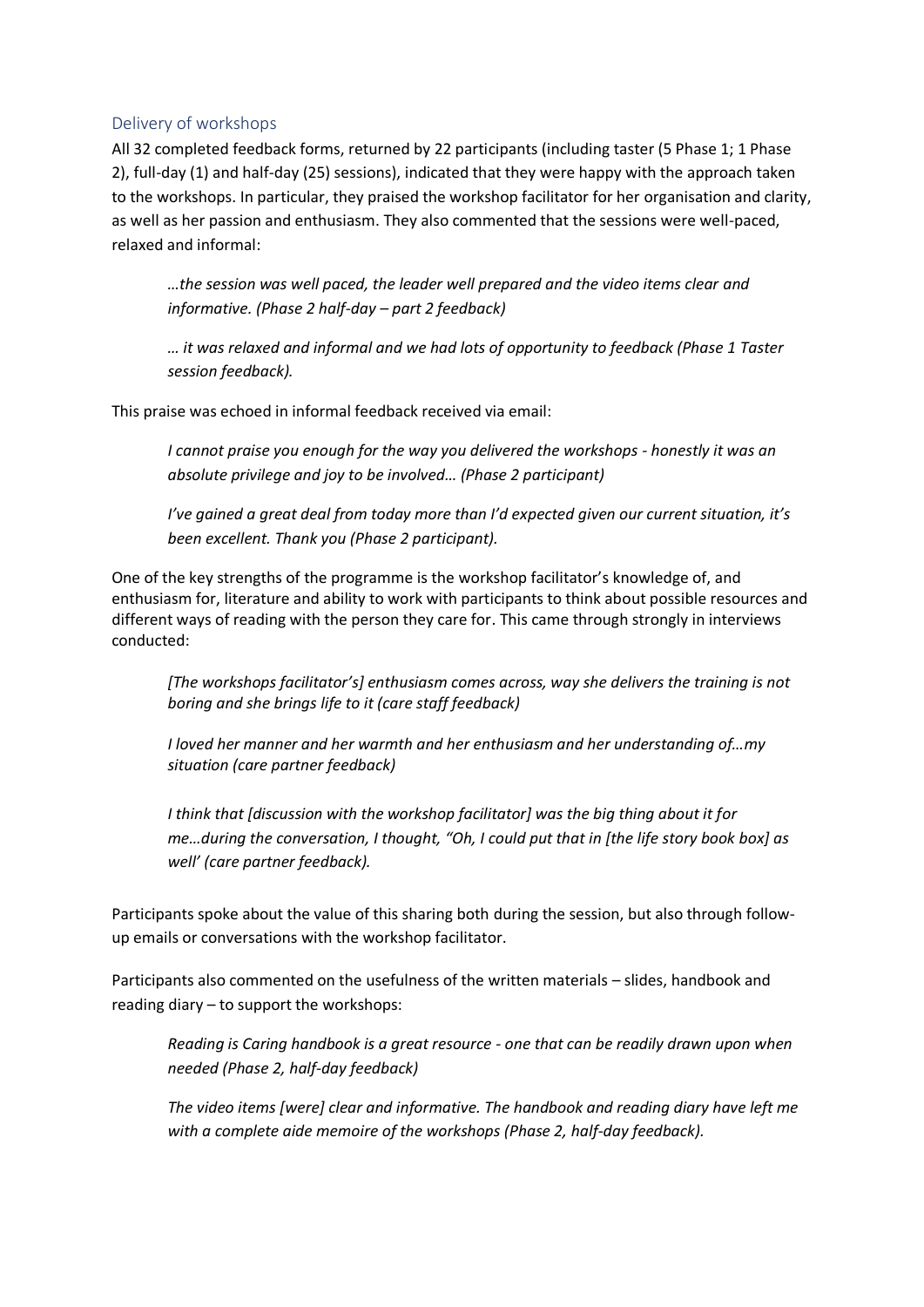#### Delivery of workshops

All 32 completed feedback forms, returned by 22 participants (including taster (5 Phase 1; 1 Phase 2), full-day (1) and half-day (25) sessions), indicated that they were happy with the approach taken to the workshops. In particular, they praised the workshop facilitator for her organisation and clarity, as well as her passion and enthusiasm. They also commented that the sessions were well-paced, relaxed and informal:

*…the session was well paced, the leader well prepared and the video items clear and informative. (Phase 2 half-day – part 2 feedback)*

*… it was relaxed and informal and we had lots of opportunity to feedback (Phase 1 Taster session feedback).*

This praise was echoed in informal feedback received via email:

*I cannot praise you enough for the way you delivered the workshops - honestly it was an absolute privilege and joy to be involved… (Phase 2 participant)*

*I've gained a great deal from today more than I'd expected given our current situation, it's been excellent. Thank you (Phase 2 participant).*

One of the key strengths of the programme is the workshop facilitator's knowledge of, and enthusiasm for, literature and ability to work with participants to think about possible resources and different ways of reading with the person they care for. This came through strongly in interviews conducted:

*[The workshops facilitator's] enthusiasm comes across, way she delivers the training is not boring and she brings life to it (care staff feedback)*

*I loved her manner and her warmth and her enthusiasm and her understanding of…my situation (care partner feedback)* 

*I think that [discussion with the workshop facilitator] was the big thing about it for me…during the conversation, I thought, "Oh, I could put that in [the life story book box] as well' (care partner feedback).*

Participants spoke about the value of this sharing both during the session, but also through followup emails or conversations with the workshop facilitator.

Participants also commented on the usefulness of the written materials – slides, handbook and reading diary – to support the workshops:

*Reading is Caring handbook is a great resource - one that can be readily drawn upon when needed (Phase 2, half-day feedback)*

*The video items [were] clear and informative. The handbook and reading diary have left me with a complete aide memoire of the workshops (Phase 2, half-day feedback).*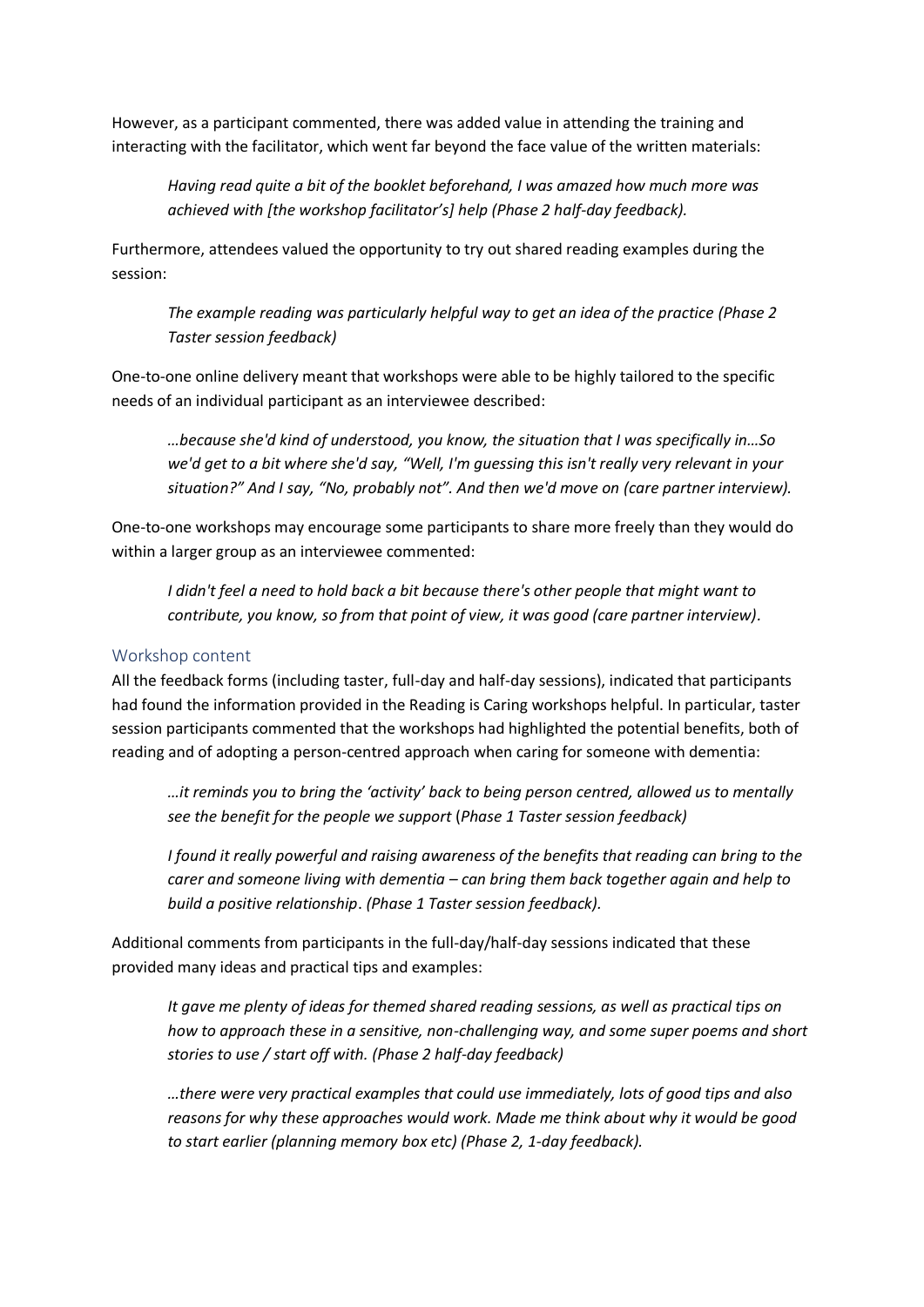However, as a participant commented, there was added value in attending the training and interacting with the facilitator, which went far beyond the face value of the written materials:

*Having read quite a bit of the booklet beforehand, I was amazed how much more was achieved with [the workshop facilitator's] help (Phase 2 half-day feedback).*

Furthermore, attendees valued the opportunity to try out shared reading examples during the session:

*The example reading was particularly helpful way to get an idea of the practice (Phase 2 Taster session feedback)*

One-to-one online delivery meant that workshops were able to be highly tailored to the specific needs of an individual participant as an interviewee described:

*…because she'd kind of understood, you know, the situation that I was specifically in…So we'd get to a bit where she'd say, "Well, I'm guessing this isn't really very relevant in your situation?" And I say, "No, probably not". And then we'd move on (care partner interview).*

One-to-one workshops may encourage some participants to share more freely than they would do within a larger group as an interviewee commented:

*I didn't feel a need to hold back a bit because there's other people that might want to contribute, you know, so from that point of view, it was good (care partner interview).*

#### Workshop content

All the feedback forms (including taster, full-day and half-day sessions), indicated that participants had found the information provided in the Reading is Caring workshops helpful. In particular, taster session participants commented that the workshops had highlighted the potential benefits, both of reading and of adopting a person-centred approach when caring for someone with dementia:

*…it reminds you to bring the 'activity' back to being person centred, allowed us to mentally see the benefit for the people we support* (*Phase 1 Taster session feedback)*

*I found it really powerful and raising awareness of the benefits that reading can bring to the carer and someone living with dementia – can bring them back together again and help to build a positive relationship*. *(Phase 1 Taster session feedback).*

Additional comments from participants in the full-day/half-day sessions indicated that these provided many ideas and practical tips and examples:

*It gave me plenty of ideas for themed shared reading sessions, as well as practical tips on how to approach these in a sensitive, non-challenging way, and some super poems and short stories to use / start off with. (Phase 2 half-day feedback)*

*…there were very practical examples that could use immediately, lots of good tips and also reasons for why these approaches would work. Made me think about why it would be good to start earlier (planning memory box etc) (Phase 2, 1-day feedback).*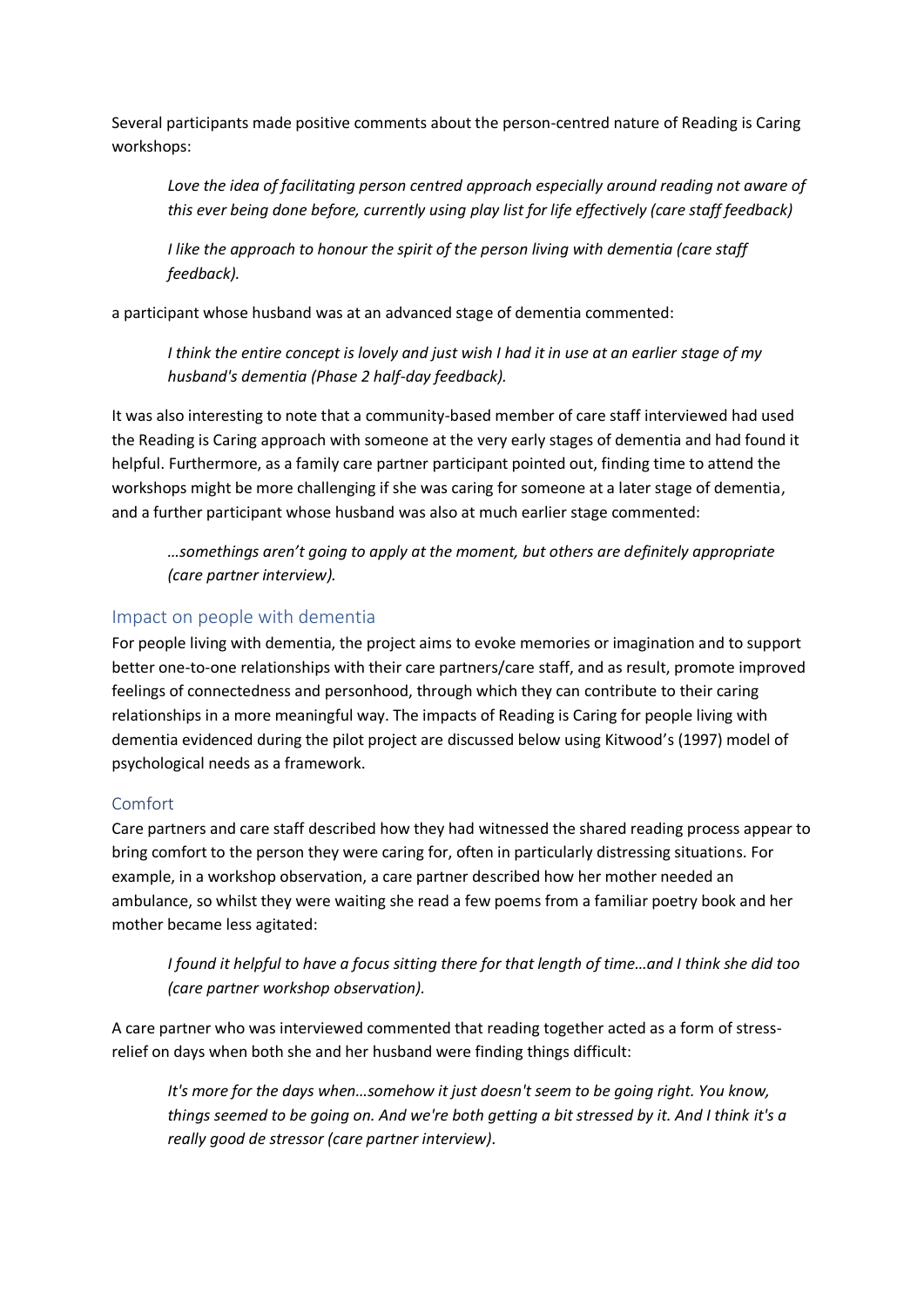Several participants made positive comments about the person-centred nature of Reading is Caring workshops:

Love the idea of facilitating person centred approach especially around reading not aware of *this ever being done before, currently using play list for life effectively (care staff feedback)*

*I like the approach to honour the spirit of the person living with dementia (care staff feedback).*

a participant whose husband was at an advanced stage of dementia commented:

*I think the entire concept is lovely and just wish I had it in use at an earlier stage of my husband's dementia (Phase 2 half-day feedback).*

It was also interesting to note that a community-based member of care staff interviewed had used the Reading is Caring approach with someone at the very early stages of dementia and had found it helpful. Furthermore, as a family care partner participant pointed out, finding time to attend the workshops might be more challenging if she was caring for someone at a later stage of dementia, and a further participant whose husband was also at much earlier stage commented:

*…somethings aren't going to apply at the moment, but others are definitely appropriate (care partner interview).*

## Impact on people with dementia

For people living with dementia, the project aims to evoke memories or imagination and to support better one-to-one relationships with their care partners/care staff, and as result, promote improved feelings of connectedness and personhood, through which they can contribute to their caring relationships in a more meaningful way. The impacts of Reading is Caring for people living with dementia evidenced during the pilot project are discussed below using Kitwood's (1997) model of psychological needs as a framework.

#### Comfort

Care partners and care staff described how they had witnessed the shared reading process appear to bring comfort to the person they were caring for, often in particularly distressing situations. For example, in a workshop observation, a care partner described how her mother needed an ambulance, so whilst they were waiting she read a few poems from a familiar poetry book and her mother became less agitated:

*I found it helpful to have a focus sitting there for that length of time…and I think she did too (care partner workshop observation).*

A care partner who was interviewed commented that reading together acted as a form of stressrelief on days when both she and her husband were finding things difficult:

*It's more for the days when…somehow it just doesn't seem to be going right. You know, things seemed to be going on. And we're both getting a bit stressed by it. And I think it's a really good de stressor (care partner interview).*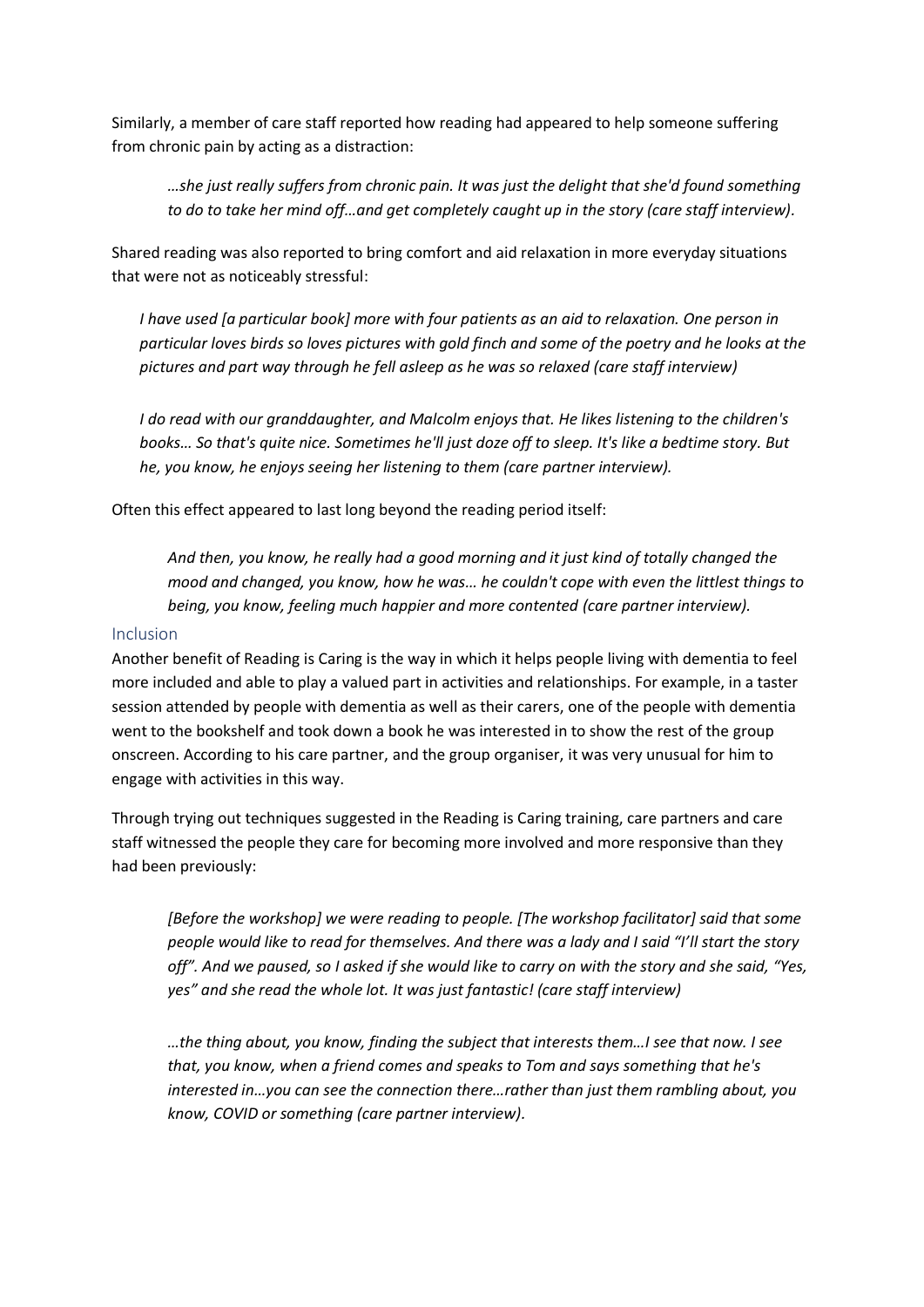Similarly, a member of care staff reported how reading had appeared to help someone suffering from chronic pain by acting as a distraction:

*…she just really suffers from chronic pain. It was just the delight that she'd found something to do to take her mind off…and get completely caught up in the story (care staff interview).*

Shared reading was also reported to bring comfort and aid relaxation in more everyday situations that were not as noticeably stressful:

*I have used [a particular book] more with four patients as an aid to relaxation. One person in particular loves birds so loves pictures with gold finch and some of the poetry and he looks at the pictures and part way through he fell asleep as he was so relaxed (care staff interview)*

*I do read with our granddaughter, and Malcolm enjoys that. He likes listening to the children's books… So that's quite nice. Sometimes he'll just doze off to sleep. It's like a bedtime story. But he, you know, he enjoys seeing her listening to them (care partner interview).*

#### Often this effect appeared to last long beyond the reading period itself:

*And then, you know, he really had a good morning and it just kind of totally changed the mood and changed, you know, how he was… he couldn't cope with even the littlest things to being, you know, feeling much happier and more contented (care partner interview).*

#### Inclusion

Another benefit of Reading is Caring is the way in which it helps people living with dementia to feel more included and able to play a valued part in activities and relationships. For example, in a taster session attended by people with dementia as well as their carers, one of the people with dementia went to the bookshelf and took down a book he was interested in to show the rest of the group onscreen. According to his care partner, and the group organiser, it was very unusual for him to engage with activities in this way.

Through trying out techniques suggested in the Reading is Caring training, care partners and care staff witnessed the people they care for becoming more involved and more responsive than they had been previously:

*[Before the workshop] we were reading to people. [The workshop facilitator] said that some people would like to read for themselves. And there was a lady and I said "I'll start the story off". And we paused, so I asked if she would like to carry on with the story and she said, "Yes, yes" and she read the whole lot. It was just fantastic! (care staff interview)*

*…the thing about, you know, finding the subject that interests them…I see that now. I see that, you know, when a friend comes and speaks to Tom and says something that he's interested in…you can see the connection there…rather than just them rambling about, you know, COVID or something (care partner interview).*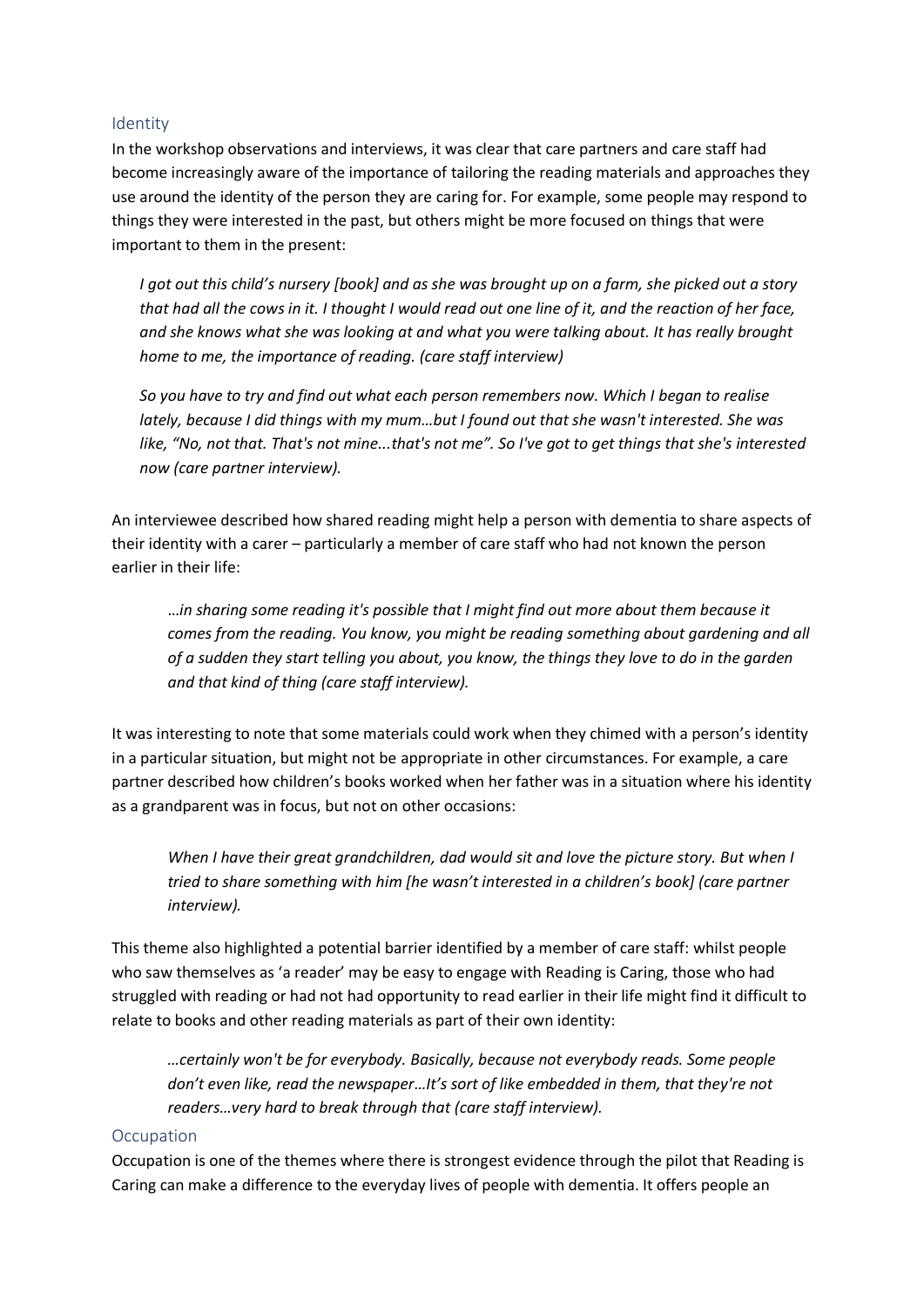#### Identity

In the workshop observations and interviews, it was clear that care partners and care staff had become increasingly aware of the importance of tailoring the reading materials and approaches they use around the identity of the person they are caring for. For example, some people may respond to things they were interested in the past, but others might be more focused on things that were important to them in the present:

*I got out this child's nursery [book] and as she was brought up on a farm, she picked out a story that had all the cows in it. I thought I would read out one line of it, and the reaction of her face, and she knows what she was looking at and what you were talking about. It has really brought home to me, the importance of reading. (care staff interview)*

*So you have to try and find out what each person remembers now. Which I began to realise lately, because I did things with my mum…but I found out that she wasn't interested. She was like, "No, not that. That's not mine...that's not me". So I've got to get things that she's interested now (care partner interview).*

An interviewee described how shared reading might help a person with dementia to share aspects of their identity with a carer – particularly a member of care staff who had not known the person earlier in their life:

…*in sharing some reading it's possible that I might find out more about them because it comes from the reading. You know, you might be reading something about gardening and all of a sudden they start telling you about, you know, the things they love to do in the garden and that kind of thing (care staff interview).*

It was interesting to note that some materials could work when they chimed with a person's identity in a particular situation, but might not be appropriate in other circumstances. For example, a care partner described how children's books worked when her father was in a situation where his identity as a grandparent was in focus, but not on other occasions:

*When I have their great grandchildren, dad would sit and love the picture story. But when I tried to share something with him [he wasn't interested in a children's book] (care partner interview).*

This theme also highlighted a potential barrier identified by a member of care staff: whilst people who saw themselves as 'a reader' may be easy to engage with Reading is Caring, those who had struggled with reading or had not had opportunity to read earlier in their life might find it difficult to relate to books and other reading materials as part of their own identity:

*…certainly won't be for everybody. Basically, because not everybody reads. Some people don't even like, read the newspaper…It's sort of like embedded in them, that they're not readers…very hard to break through that (care staff interview).*

#### **Occupation**

Occupation is one of the themes where there is strongest evidence through the pilot that Reading is Caring can make a difference to the everyday lives of people with dementia. It offers people an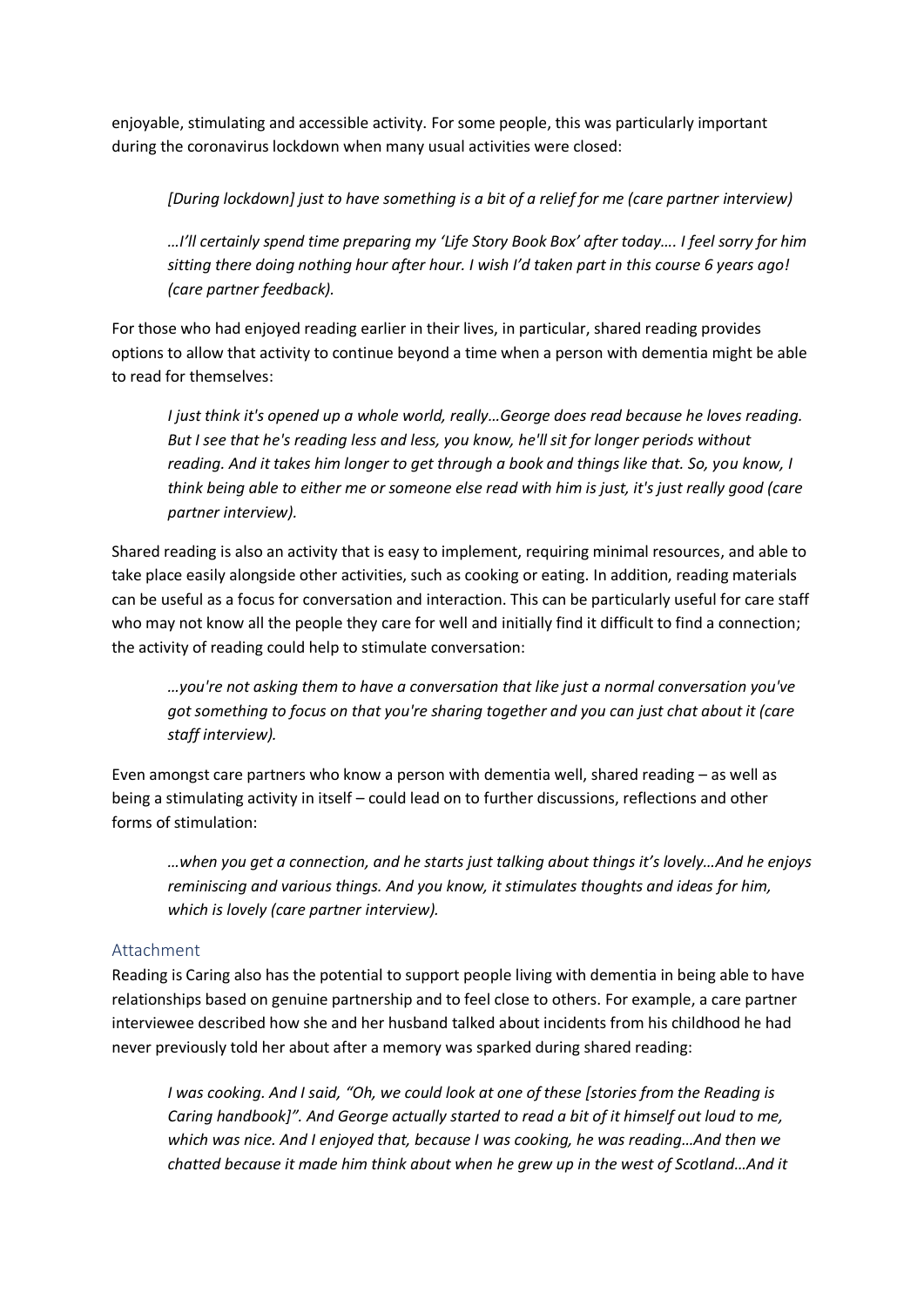enjoyable, stimulating and accessible activity. For some people, this was particularly important during the coronavirus lockdown when many usual activities were closed:

*[During lockdown] just to have something is a bit of a relief for me (care partner interview)*

*…I'll certainly spend time preparing my 'Life Story Book Box' after today…. I feel sorry for him sitting there doing nothing hour after hour. I wish I'd taken part in this course 6 years ago! (care partner feedback).*

For those who had enjoyed reading earlier in their lives, in particular, shared reading provides options to allow that activity to continue beyond a time when a person with dementia might be able to read for themselves:

*I just think it's opened up a whole world, really…George does read because he loves reading. But I see that he's reading less and less, you know, he'll sit for longer periods without reading. And it takes him longer to get through a book and things like that. So, you know, I think being able to either me or someone else read with him is just, it's just really good (care partner interview).*

Shared reading is also an activity that is easy to implement, requiring minimal resources, and able to take place easily alongside other activities, such as cooking or eating. In addition, reading materials can be useful as a focus for conversation and interaction. This can be particularly useful for care staff who may not know all the people they care for well and initially find it difficult to find a connection; the activity of reading could help to stimulate conversation:

*…you're not asking them to have a conversation that like just a normal conversation you've got something to focus on that you're sharing together and you can just chat about it (care staff interview).*

Even amongst care partners who know a person with dementia well, shared reading – as well as being a stimulating activity in itself – could lead on to further discussions, reflections and other forms of stimulation:

*…when you get a connection, and he starts just talking about things it's lovely…And he enjoys reminiscing and various things. And you know, it stimulates thoughts and ideas for him, which is lovely (care partner interview).*

# Attachment

Reading is Caring also has the potential to support people living with dementia in being able to have relationships based on genuine partnership and to feel close to others. For example, a care partner interviewee described how she and her husband talked about incidents from his childhood he had never previously told her about after a memory was sparked during shared reading:

*I was cooking. And I said, "Oh, we could look at one of these [stories from the Reading is Caring handbook]". And George actually started to read a bit of it himself out loud to me, which was nice. And I enjoyed that, because I was cooking, he was reading…And then we chatted because it made him think about when he grew up in the west of Scotland…And it*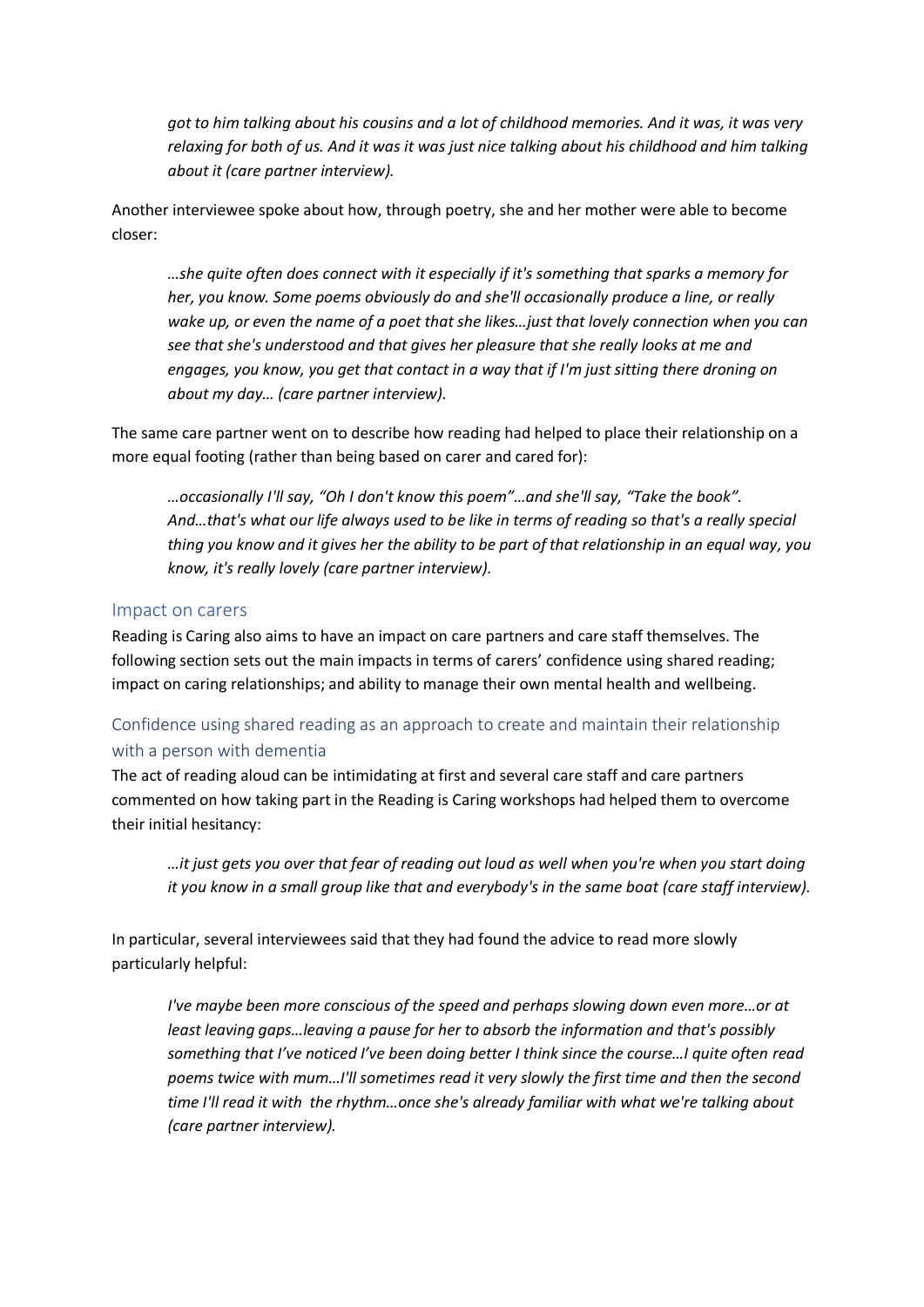*got to him talking about his cousins and a lot of childhood memories. And it was, it was very relaxing for both of us. And it was it was just nice talking about his childhood and him talking about it (care partner interview).*

Another interviewee spoke about how, through poetry, she and her mother were able to become closer:

*…she quite often does connect with it especially if it's something that sparks a memory for her, you know. Some poems obviously do and she'll occasionally produce a line, or really wake up, or even the name of a poet that she likes…just that lovely connection when you can see that she's understood and that gives her pleasure that she really looks at me and engages, you know, you get that contact in a way that if I'm just sitting there droning on about my day… (care partner interview).*

The same care partner went on to describe how reading had helped to place their relationship on a more equal footing (rather than being based on carer and cared for):

*…occasionally I'll say, "Oh I don't know this poem"…and she'll say, "Take the book". And…that's what our life always used to be like in terms of reading so that's a really special thing you know and it gives her the ability to be part of that relationship in an equal way, you know, it's really lovely (care partner interview).*

#### Impact on carers

Reading is Caring also aims to have an impact on care partners and care staff themselves. The following section sets out the main impacts in terms of carers' confidence using shared reading; impact on caring relationships; and ability to manage their own mental health and wellbeing.

# Confidence using shared reading as an approach to create and maintain their relationship with a person with dementia

The act of reading aloud can be intimidating at first and several care staff and care partners commented on how taking part in the Reading is Caring workshops had helped them to overcome their initial hesitancy:

*…it just gets you over that fear of reading out loud as well when you're when you start doing it you know in a small group like that and everybody's in the same boat (care staff interview).*

In particular, several interviewees said that they had found the advice to read more slowly particularly helpful:

*I've maybe been more conscious of the speed and perhaps slowing down even more…or at least leaving gaps…leaving a pause for her to absorb the information and that's possibly something that I've noticed I've been doing better I think since the course…I quite often read poems twice with mum…I'll sometimes read it very slowly the first time and then the second time I'll read it with the rhythm…once she's already familiar with what we're talking about (care partner interview).*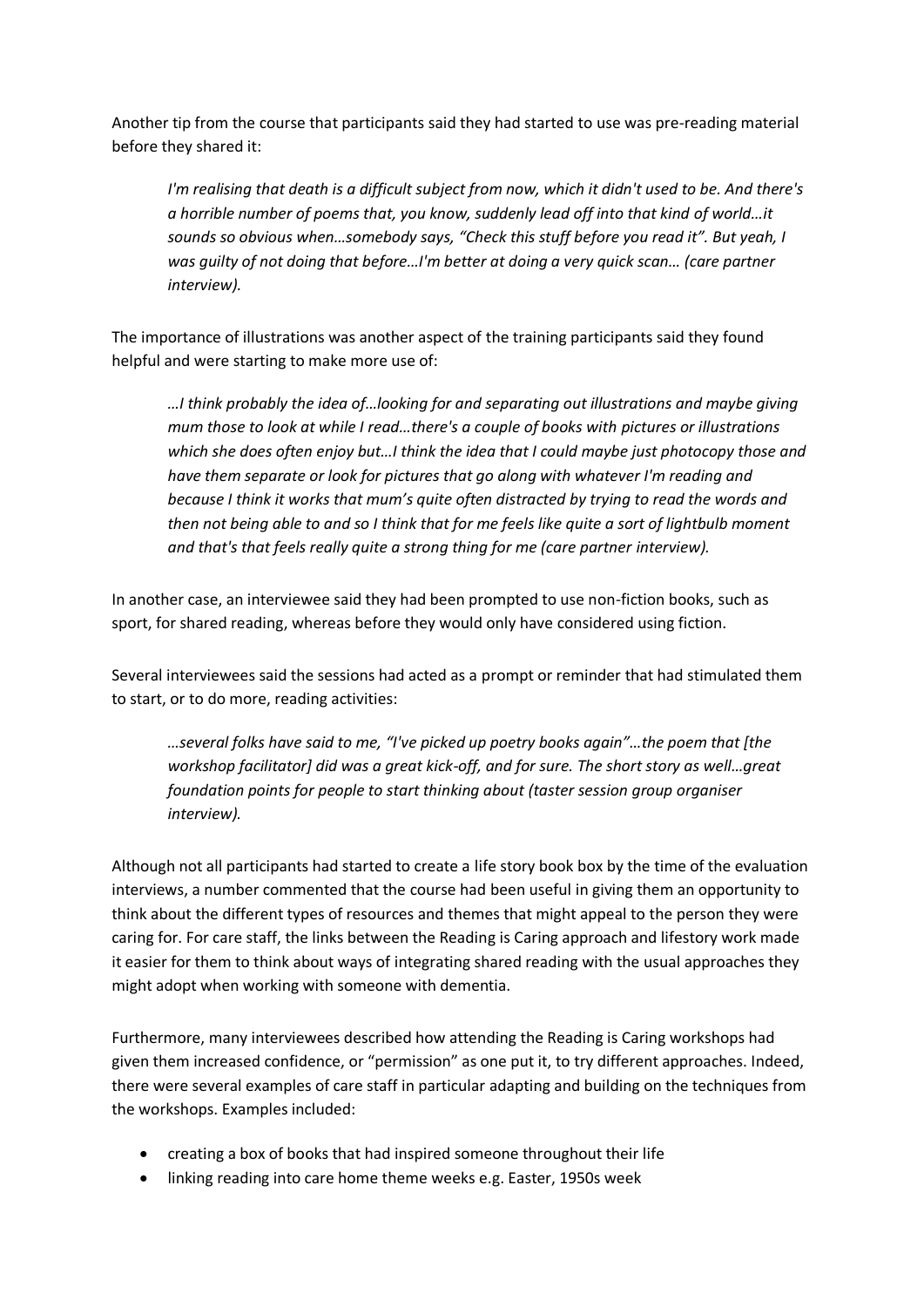Another tip from the course that participants said they had started to use was pre-reading material before they shared it:

*I'm realising that death is a difficult subject from now, which it didn't used to be. And there's a horrible number of poems that, you know, suddenly lead off into that kind of world…it sounds so obvious when…somebody says, "Check this stuff before you read it". But yeah, I was guilty of not doing that before…I'm better at doing a very quick scan… (care partner interview).*

The importance of illustrations was another aspect of the training participants said they found helpful and were starting to make more use of:

*…I think probably the idea of…looking for and separating out illustrations and maybe giving mum those to look at while I read…there's a couple of books with pictures or illustrations which she does often enjoy but…I think the idea that I could maybe just photocopy those and have them separate or look for pictures that go along with whatever I'm reading and because I think it works that mum's quite often distracted by trying to read the words and then not being able to and so I think that for me feels like quite a sort of lightbulb moment and that's that feels really quite a strong thing for me (care partner interview).*

In another case, an interviewee said they had been prompted to use non-fiction books, such as sport, for shared reading, whereas before they would only have considered using fiction.

Several interviewees said the sessions had acted as a prompt or reminder that had stimulated them to start, or to do more, reading activities:

*…several folks have said to me, "I've picked up poetry books again"…the poem that [the workshop facilitator] did was a great kick-off, and for sure. The short story as well…great foundation points for people to start thinking about (taster session group organiser interview).*

Although not all participants had started to create a life story book box by the time of the evaluation interviews, a number commented that the course had been useful in giving them an opportunity to think about the different types of resources and themes that might appeal to the person they were caring for. For care staff, the links between the Reading is Caring approach and lifestory work made it easier for them to think about ways of integrating shared reading with the usual approaches they might adopt when working with someone with dementia.

Furthermore, many interviewees described how attending the Reading is Caring workshops had given them increased confidence, or "permission" as one put it, to try different approaches. Indeed, there were several examples of care staff in particular adapting and building on the techniques from the workshops. Examples included:

- creating a box of books that had inspired someone throughout their life
- linking reading into care home theme weeks e.g. Easter, 1950s week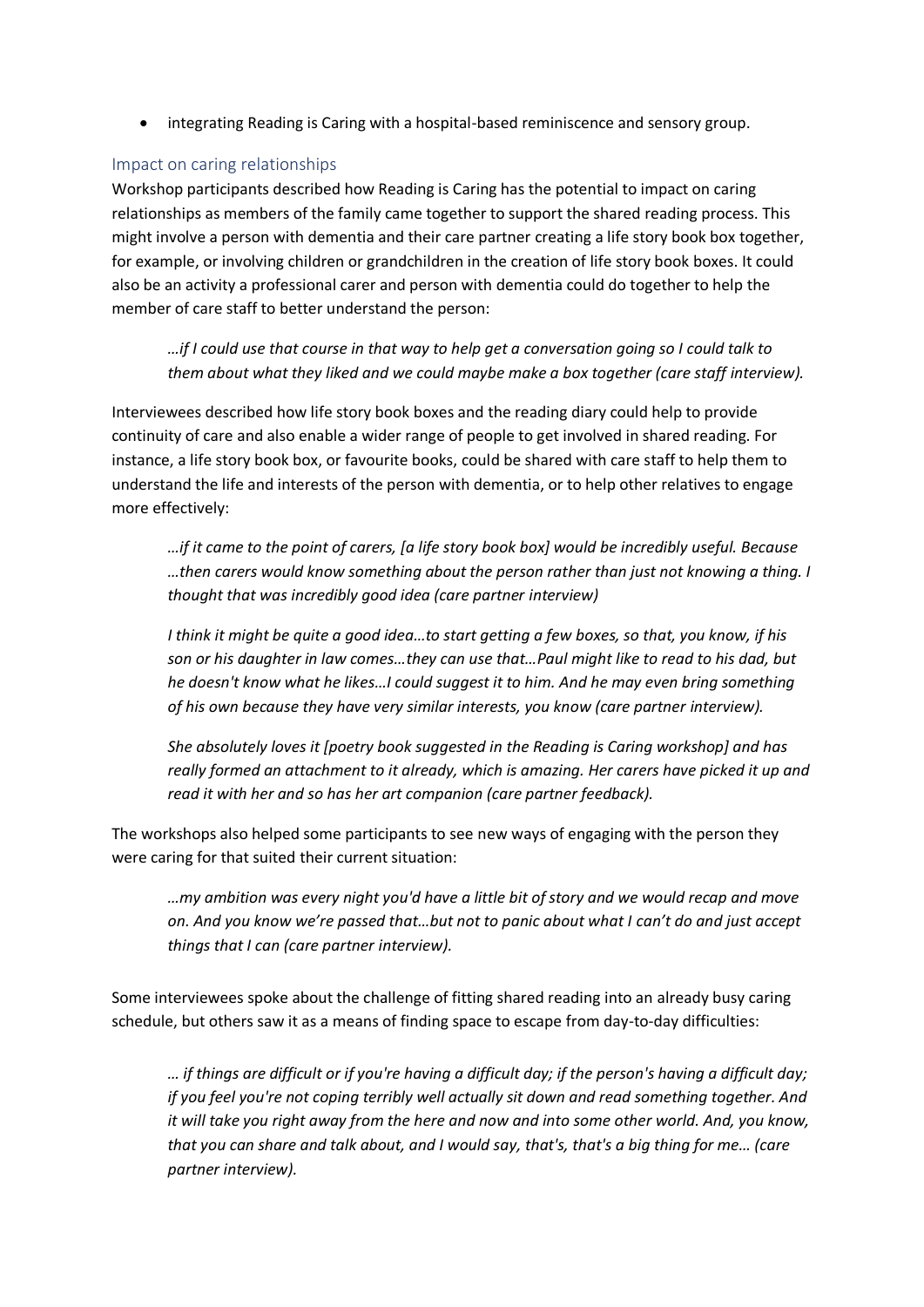• integrating Reading is Caring with a hospital-based reminiscence and sensory group.

#### Impact on caring relationships

Workshop participants described how Reading is Caring has the potential to impact on caring relationships as members of the family came together to support the shared reading process. This might involve a person with dementia and their care partner creating a life story book box together, for example, or involving children or grandchildren in the creation of life story book boxes. It could also be an activity a professional carer and person with dementia could do together to help the member of care staff to better understand the person:

*…if I could use that course in that way to help get a conversation going so I could talk to them about what they liked and we could maybe make a box together (care staff interview).*

Interviewees described how life story book boxes and the reading diary could help to provide continuity of care and also enable a wider range of people to get involved in shared reading. For instance, a life story book box, or favourite books, could be shared with care staff to help them to understand the life and interests of the person with dementia, or to help other relatives to engage more effectively:

*…if it came to the point of carers, [a life story book box] would be incredibly useful. Because …then carers would know something about the person rather than just not knowing a thing. I thought that was incredibly good idea (care partner interview)*

*I think it might be quite a good idea…to start getting a few boxes, so that, you know, if his son or his daughter in law comes…they can use that…Paul might like to read to his dad, but he doesn't know what he likes…I could suggest it to him. And he may even bring something of his own because they have very similar interests, you know (care partner interview).*

*She absolutely loves it [poetry book suggested in the Reading is Caring workshop] and has really formed an attachment to it already, which is amazing. Her carers have picked it up and read it with her and so has her art companion (care partner feedback).*

The workshops also helped some participants to see new ways of engaging with the person they were caring for that suited their current situation:

*…my ambition was every night you'd have a little bit of story and we would recap and move on. And you know we're passed that…but not to panic about what I can't do and just accept things that I can (care partner interview).*

Some interviewees spoke about the challenge of fitting shared reading into an already busy caring schedule, but others saw it as a means of finding space to escape from day-to-day difficulties:

*… if things are difficult or if you're having a difficult day; if the person's having a difficult day; if you feel you're not coping terribly well actually sit down and read something together. And it will take you right away from the here and now and into some other world. And, you know, that you can share and talk about, and I would say, that's, that's a big thing for me… (care partner interview).*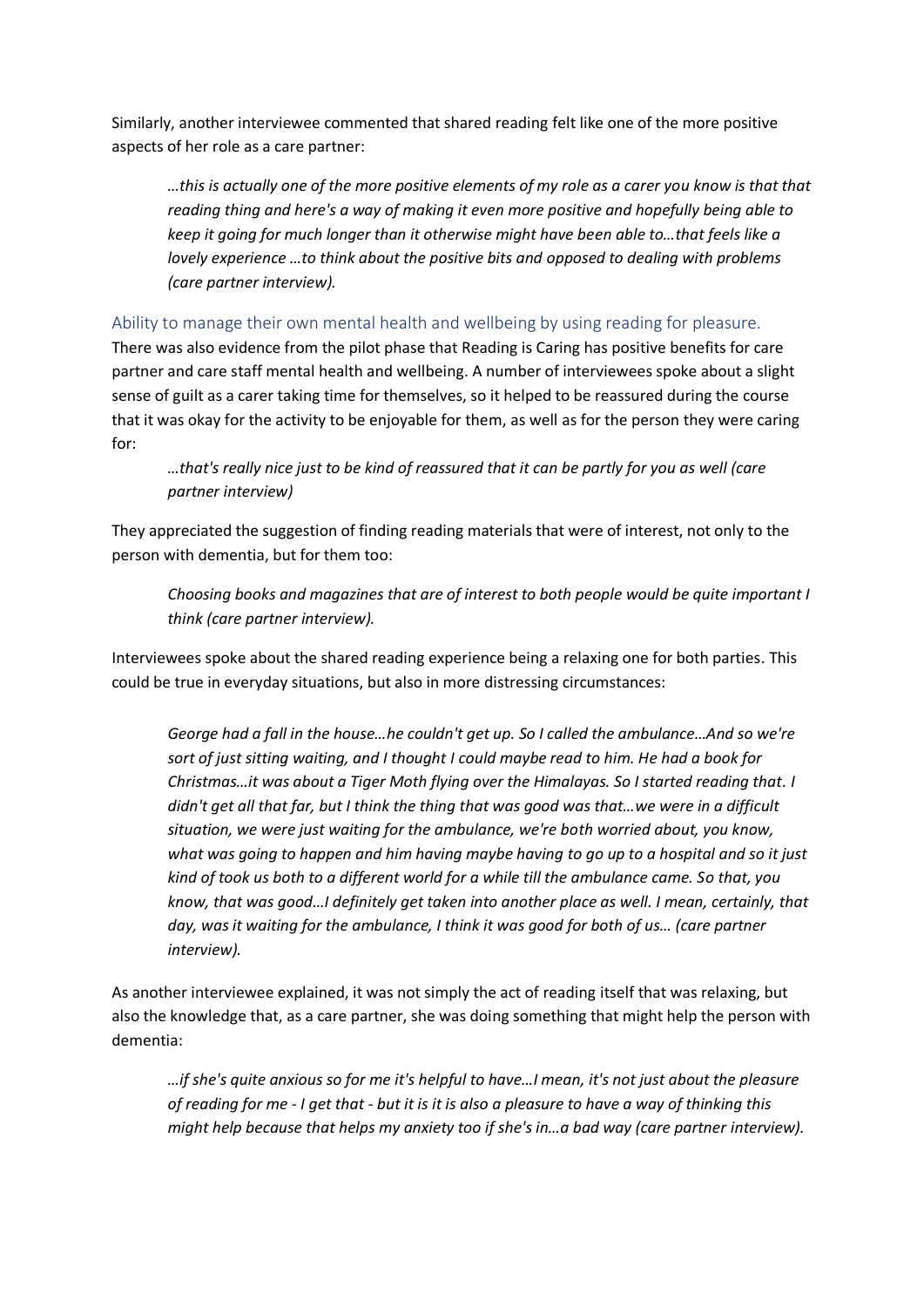Similarly, another interviewee commented that shared reading felt like one of the more positive aspects of her role as a care partner:

*…this is actually one of the more positive elements of my role as a carer you know is that that reading thing and here's a way of making it even more positive and hopefully being able to keep it going for much longer than it otherwise might have been able to…that feels like a lovely experience …to think about the positive bits and opposed to dealing with problems (care partner interview).*

## Ability to manage their own mental health and wellbeing by using reading for pleasure.

There was also evidence from the pilot phase that Reading is Caring has positive benefits for care partner and care staff mental health and wellbeing. A number of interviewees spoke about a slight sense of guilt as a carer taking time for themselves, so it helped to be reassured during the course that it was okay for the activity to be enjoyable for them, as well as for the person they were caring for:

# *…that's really nice just to be kind of reassured that it can be partly for you as well (care partner interview)*

They appreciated the suggestion of finding reading materials that were of interest, not only to the person with dementia, but for them too:

*Choosing books and magazines that are of interest to both people would be quite important I think (care partner interview).*

Interviewees spoke about the shared reading experience being a relaxing one for both parties. This could be true in everyday situations, but also in more distressing circumstances:

*George had a fall in the house…he couldn't get up. So I called the ambulance…And so we're sort of just sitting waiting, and I thought I could maybe read to him. He had a book for Christmas…it was about a Tiger Moth flying over the Himalayas. So I started reading that. I didn't get all that far, but I think the thing that was good was that…we were in a difficult situation, we were just waiting for the ambulance, we're both worried about, you know, what was going to happen and him having maybe having to go up to a hospital and so it just kind of took us both to a different world for a while till the ambulance came. So that, you know, that was good…I definitely get taken into another place as well. I mean, certainly, that day, was it waiting for the ambulance, I think it was good for both of us… (care partner interview).*

As another interviewee explained, it was not simply the act of reading itself that was relaxing, but also the knowledge that, as a care partner, she was doing something that might help the person with dementia:

*…if she's quite anxious so for me it's helpful to have…I mean, it's not just about the pleasure of reading for me - I get that - but it is it is also a pleasure to have a way of thinking this might help because that helps my anxiety too if she's in...a bad way (care partner interview).*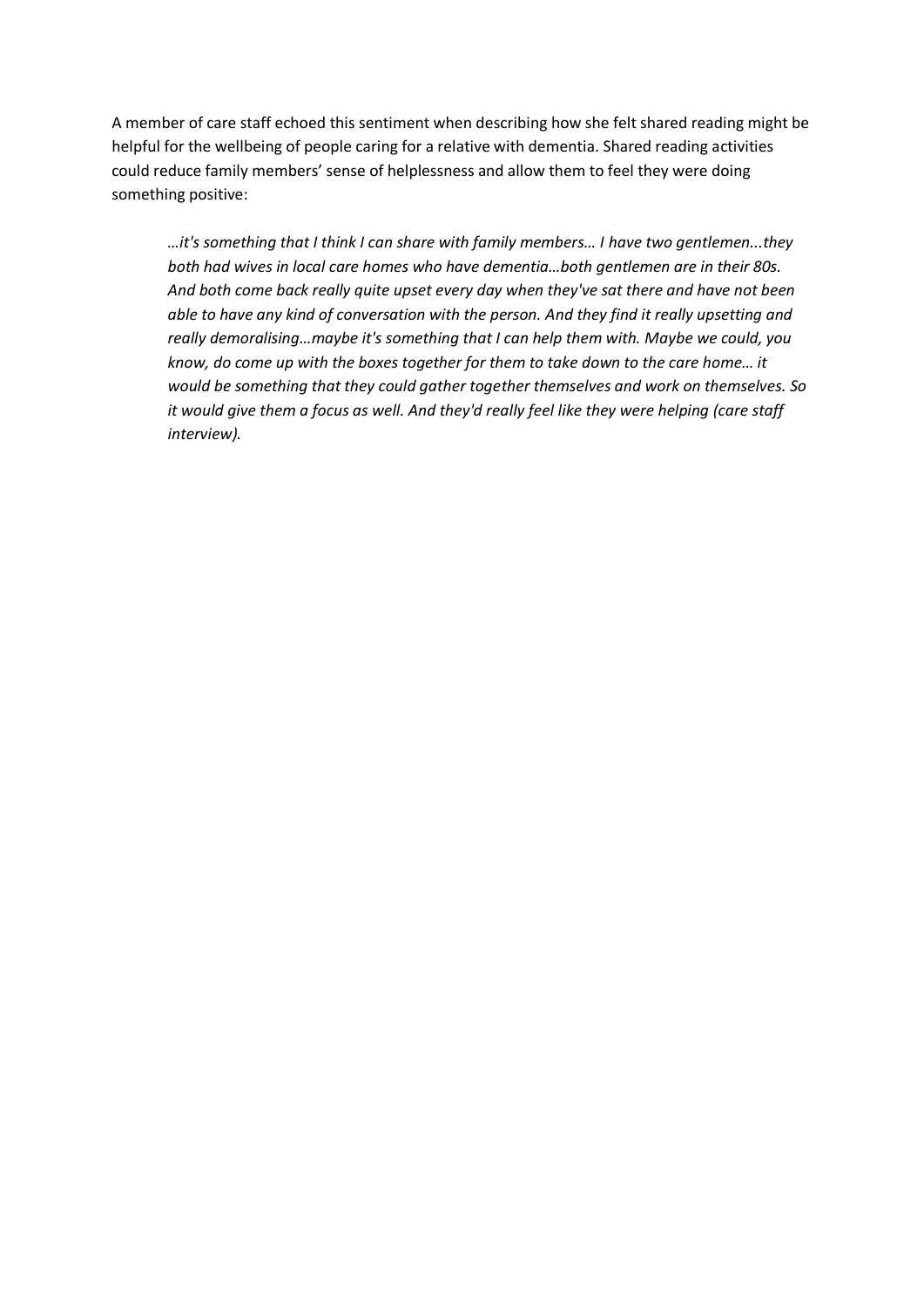A member of care staff echoed this sentiment when describing how she felt shared reading might be helpful for the wellbeing of people caring for a relative with dementia. Shared reading activities could reduce family members' sense of helplessness and allow them to feel they were doing something positive:

*…it's something that I think I can share with family members… I have two gentlemen...they both had wives in local care homes who have dementia…both gentlemen are in their 80s. And both come back really quite upset every day when they've sat there and have not been able to have any kind of conversation with the person. And they find it really upsetting and really demoralising…maybe it's something that I can help them with. Maybe we could, you know, do come up with the boxes together for them to take down to the care home… it would be something that they could gather together themselves and work on themselves. So it would give them a focus as well. And they'd really feel like they were helping (care staff interview).*